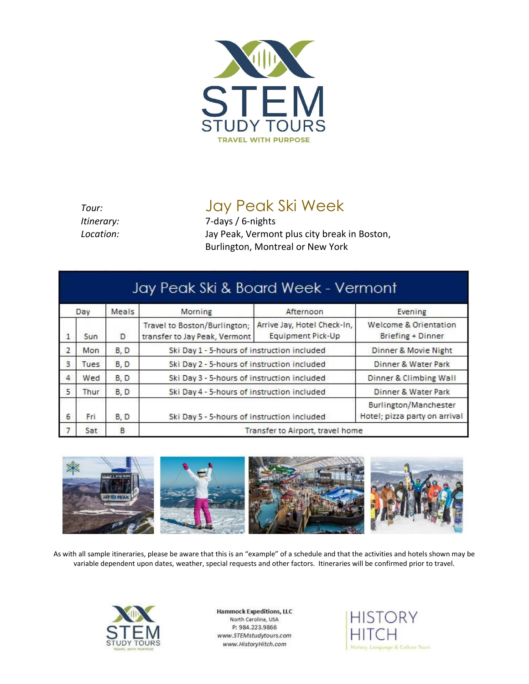

## *Tour:* Jay Peak Ski Week

*Itinerary:* 7*-*days / 6-nights *Location:* Jay Peak, Vermont plus city break in Boston, Burlington, Montreal or New York

| Day            |       | Meals | Morning                                                       | Afternoon                                        | Evening                                                |
|----------------|-------|-------|---------------------------------------------------------------|--------------------------------------------------|--------------------------------------------------------|
| $\mathbf{1}$   | Sun   | D     | Travel to Boston/Burlington;<br>transfer to Jay Peak, Vermont | Arrive Jay, Hotel Check-In,<br>Equipment Pick-Up | Welcome & Orientation<br>Briefing + Dinner             |
| $\overline{2}$ | Mon   | B, D  | Ski Day 1 - 5-hours of instruction included                   |                                                  | Dinner & Movie Night                                   |
| 3              | Tues  | B, D  | Ski Day 2 - 5-hours of instruction included                   |                                                  | Dinner & Water Park                                    |
| 4              | Wed   | B, D  | Ski Day 3 - 5-hours of instruction included                   |                                                  | Dinner & Climbing Wall                                 |
| 5              | Thur. | B, D  | Ski Day 4 - 5-hours of instruction included                   |                                                  | Dinner & Water Park                                    |
| 6              | Fri   | B.D   | Ski Day 5 - 5-hours of instruction included                   |                                                  | Burlington/Manchester<br>Hotel; pizza party on arrival |
|                | Sat   | B     | Transfer to Airport, travel home                              |                                                  |                                                        |



As with all sample itineraries, please be aware that this is an "example" of a schedule and that the activities and hotels shown may be variable dependent upon dates, weather, special requests and other factors. Itineraries will be confirmed prior to travel.



**Hammock Expeditions, LLC** North Carolina, USA P: 984.223.9866 www.STEMstudytours.com www.HistoryHitch.com

**HISTORY** History, Language & Culture Tours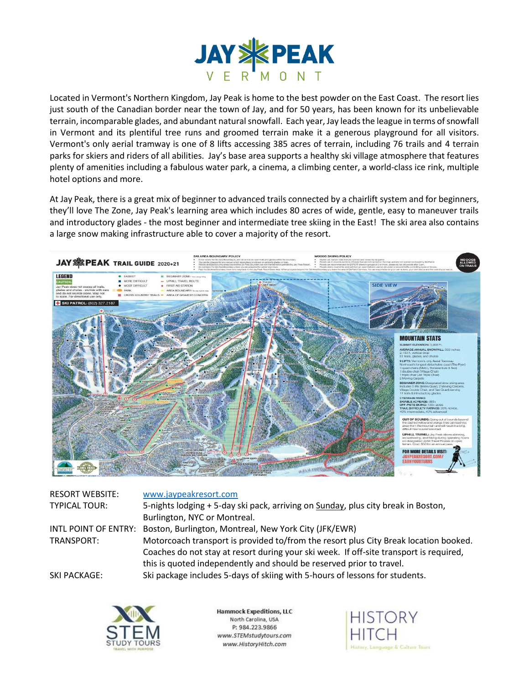

Located in Vermont's Northern Kingdom, Jay Peak is home to the best powder on the East Coast. The resort lies just south of the Canadian border near the town of Jay, and for 50 years, has been known for its unbelievable terrain, incomparable glades, and abundant natural snowfall. Each year, Jay leads the league in terms of snowfall in Vermont and its plentiful tree runs and groomed terrain make it a generous playground for all visitors. Vermont's only aerial tramway is one of 8 lifts accessing 385 acres of terrain, including 76 trails and 4 terrain parks for skiers and riders of all abilities. Jay's base area supports a healthy ski village atmosphere that features plenty of amenities including a fabulous water park, a cinema, a climbing center, a world-class ice rink, multiple hotel options and more.

At Jay Peak, there is a great mix of beginner to advanced trails connected by a chairlift system and for beginners, they'll love The Zone, Jay Peak's learning area which includes 80 acres of wide, gentle, easy to maneuver trails and introductory glades - the most beginner and intermediate tree skiing in the East! The ski area also contains a large snow making infrastructure able to cover a majority of the resort.



| <b>RESORT WEBSITE:</b> | www.jaypeakresort.com                                                                  |
|------------------------|----------------------------------------------------------------------------------------|
| <b>TYPICAL TOUR:</b>   | 5-nights lodging + 5-day ski pack, arriving on Sunday, plus city break in Boston,      |
|                        | Burlington, NYC or Montreal.                                                           |
|                        | INTL POINT OF ENTRY: Boston, Burlington, Montreal, New York City (JFK/EWR)             |
| TRANSPORT:             | Motorcoach transport is provided to/from the resort plus City Break location booked.   |
|                        | Coaches do not stay at resort during your ski week. If off-site transport is required, |
|                        | this is quoted independently and should be reserved prior to travel.                   |
| <b>SKI PACKAGE:</b>    | Ski package includes 5-days of skiing with 5-hours of lessons for students.            |



**Hammock Expeditions, LLC** North Carolina, USA P: 984.223.9866 www.STEMstudytours.com www.HistoryHitch.com

**HISTORY** story, Language & Culture Tours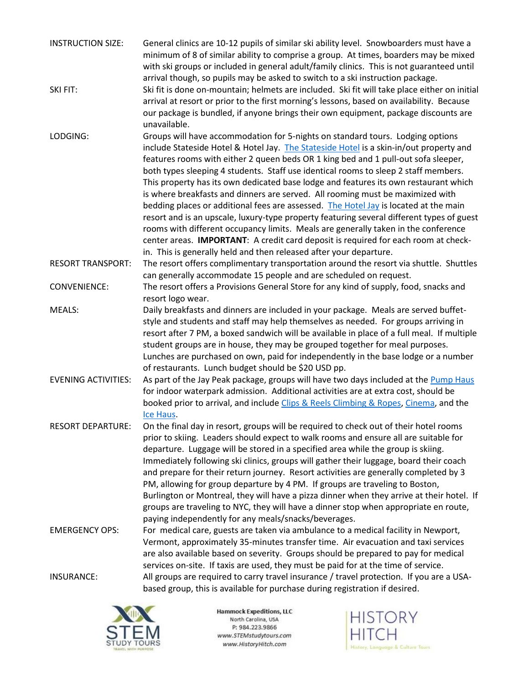| <b>INSTRUCTION SIZE:</b>   | General clinics are 10-12 pupils of similar ski ability level. Snowboarders must have a                                                                                           |
|----------------------------|-----------------------------------------------------------------------------------------------------------------------------------------------------------------------------------|
|                            | minimum of 8 of similar ability to comprise a group. At times, boarders may be mixed<br>with ski groups or included in general adult/family clinics. This is not guaranteed until |
|                            | arrival though, so pupils may be asked to switch to a ski instruction package.                                                                                                    |
| SKI FIT:                   | Ski fit is done on-mountain; helmets are included. Ski fit will take place either on initial                                                                                      |
|                            | arrival at resort or prior to the first morning's lessons, based on availability. Because                                                                                         |
|                            | our package is bundled, if anyone brings their own equipment, package discounts are                                                                                               |
|                            | unavailable.                                                                                                                                                                      |
| LODGING:                   | Groups will have accommodation for 5-nights on standard tours. Lodging options<br>include Stateside Hotel & Hotel Jay. The Stateside Hotel is a skin-in/out property and          |
|                            | features rooms with either 2 queen beds OR 1 king bed and 1 pull-out sofa sleeper,                                                                                                |
|                            | both types sleeping 4 students. Staff use identical rooms to sleep 2 staff members.                                                                                               |
|                            | This property has its own dedicated base lodge and features its own restaurant which                                                                                              |
|                            | is where breakfasts and dinners are served. All rooming must be maximized with                                                                                                    |
|                            | bedding places or additional fees are assessed. The Hotel Jay is located at the main                                                                                              |
|                            | resort and is an upscale, luxury-type property featuring several different types of guest                                                                                         |
|                            | rooms with different occupancy limits. Meals are generally taken in the conference<br>center areas. IMPORTANT: A credit card deposit is required for each room at check-          |
|                            | in. This is generally held and then released after your departure.                                                                                                                |
| <b>RESORT TRANSPORT:</b>   | The resort offers complimentary transportation around the resort via shuttle. Shuttles                                                                                            |
|                            | can generally accommodate 15 people and are scheduled on request.                                                                                                                 |
| <b>CONVENIENCE:</b>        | The resort offers a Provisions General Store for any kind of supply, food, snacks and                                                                                             |
|                            | resort logo wear.                                                                                                                                                                 |
| MEALS:                     | Daily breakfasts and dinners are included in your package. Meals are served buffet-                                                                                               |
|                            | style and students and staff may help themselves as needed. For groups arriving in<br>resort after 7 PM, a boxed sandwich will be available in place of a full meal. If multiple  |
|                            | student groups are in house, they may be grouped together for meal purposes.                                                                                                      |
|                            | Lunches are purchased on own, paid for independently in the base lodge or a number                                                                                                |
|                            | of restaurants. Lunch budget should be \$20 USD pp.                                                                                                                               |
| <b>EVENING ACTIVITIES:</b> | As part of the Jay Peak package, groups will have two days included at the Pump Haus                                                                                              |
|                            | for indoor waterpark admission. Additional activities are at extra cost, should be                                                                                                |
|                            | booked prior to arrival, and include Clips & Reels Climbing & Ropes, Cinema, and the                                                                                              |
| <b>RESORT DEPARTURE:</b>   | Ice Haus.<br>On the final day in resort, groups will be required to check out of their hotel rooms                                                                                |
|                            | prior to skiing. Leaders should expect to walk rooms and ensure all are suitable for                                                                                              |
|                            | departure. Luggage will be stored in a specified area while the group is skiing.                                                                                                  |
|                            | Immediately following ski clinics, groups will gather their luggage, board their coach                                                                                            |
|                            | and prepare for their return journey. Resort activities are generally completed by 3                                                                                              |
|                            | PM, allowing for group departure by 4 PM. If groups are traveling to Boston,                                                                                                      |
|                            | Burlington or Montreal, they will have a pizza dinner when they arrive at their hotel. If                                                                                         |
|                            | groups are traveling to NYC, they will have a dinner stop when appropriate en route,<br>paying independently for any meals/snacks/beverages.                                      |
| <b>EMERGENCY OPS:</b>      | For medical care, guests are taken via ambulance to a medical facility in Newport,                                                                                                |
|                            | Vermont, approximately 35-minutes transfer time. Air evacuation and taxi services                                                                                                 |
|                            | are also available based on severity. Groups should be prepared to pay for medical                                                                                                |
|                            | services on-site. If taxis are used, they must be paid for at the time of service.                                                                                                |
| <b>INSURANCE:</b>          | All groups are required to carry travel insurance / travel protection. If you are a USA-                                                                                          |
|                            | based group, this is available for purchase during registration if desired.                                                                                                       |



**Hammock Expeditions, LLC** North Carolina, USA P: 984.223.9866 www.STEMstudytours.com www.HistoryHitch.com

**HISTORY HITCH** History, Language & Culture Tours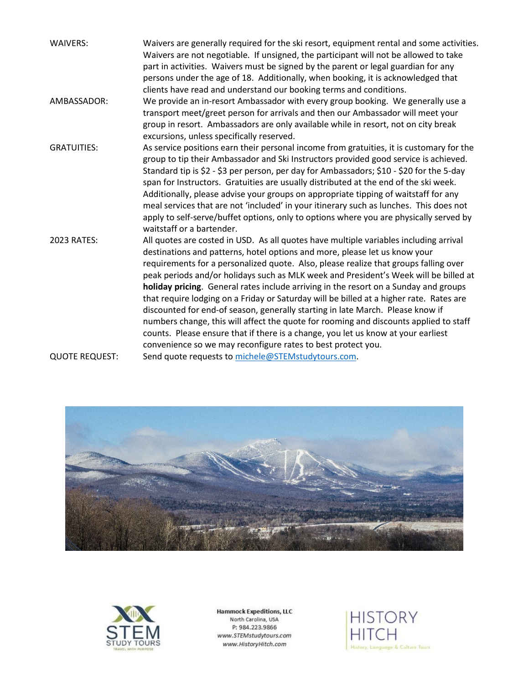| <b>WAIVERS:</b>       | Waivers are generally required for the ski resort, equipment rental and some activities.<br>Waivers are not negotiable. If unsigned, the participant will not be allowed to take<br>part in activities. Waivers must be signed by the parent or legal guardian for any<br>persons under the age of 18. Additionally, when booking, it is acknowledged that<br>clients have read and understand our booking terms and conditions.                                                                                                                                                                                                                                                                                                                                                                                                                                       |
|-----------------------|------------------------------------------------------------------------------------------------------------------------------------------------------------------------------------------------------------------------------------------------------------------------------------------------------------------------------------------------------------------------------------------------------------------------------------------------------------------------------------------------------------------------------------------------------------------------------------------------------------------------------------------------------------------------------------------------------------------------------------------------------------------------------------------------------------------------------------------------------------------------|
| AMBASSADOR:           | We provide an in-resort Ambassador with every group booking. We generally use a<br>transport meet/greet person for arrivals and then our Ambassador will meet your<br>group in resort. Ambassadors are only available while in resort, not on city break<br>excursions, unless specifically reserved.                                                                                                                                                                                                                                                                                                                                                                                                                                                                                                                                                                  |
| <b>GRATUITIES:</b>    | As service positions earn their personal income from gratuities, it is customary for the<br>group to tip their Ambassador and Ski Instructors provided good service is achieved.<br>Standard tip is \$2 - \$3 per person, per day for Ambassadors; \$10 - \$20 for the 5-day<br>span for Instructors. Gratuities are usually distributed at the end of the ski week.<br>Additionally, please advise your groups on appropriate tipping of waitstaff for any<br>meal services that are not 'included' in your itinerary such as lunches. This does not<br>apply to self-serve/buffet options, only to options where you are physically served by<br>waitstaff or a bartender.                                                                                                                                                                                           |
| 2023 RATES:           | All quotes are costed in USD. As all quotes have multiple variables including arrival<br>destinations and patterns, hotel options and more, please let us know your<br>requirements for a personalized quote. Also, please realize that groups falling over<br>peak periods and/or holidays such as MLK week and President's Week will be billed at<br>holiday pricing. General rates include arriving in the resort on a Sunday and groups<br>that require lodging on a Friday or Saturday will be billed at a higher rate. Rates are<br>discounted for end-of season, generally starting in late March. Please know if<br>numbers change, this will affect the quote for rooming and discounts applied to staff<br>counts. Please ensure that if there is a change, you let us know at your earliest<br>convenience so we may reconfigure rates to best protect you. |
| <b>QUOTE REQUEST:</b> | Send quote requests to michele@STEMstudytours.com.                                                                                                                                                                                                                                                                                                                                                                                                                                                                                                                                                                                                                                                                                                                                                                                                                     |





Hammock Expeditions, LLC<br>North Carolina, USA P: 984.223.9866 www.STEMstudytours.com www.HistoryHitch.com

**HISTORY HITCH** History, Language & Culture Tours